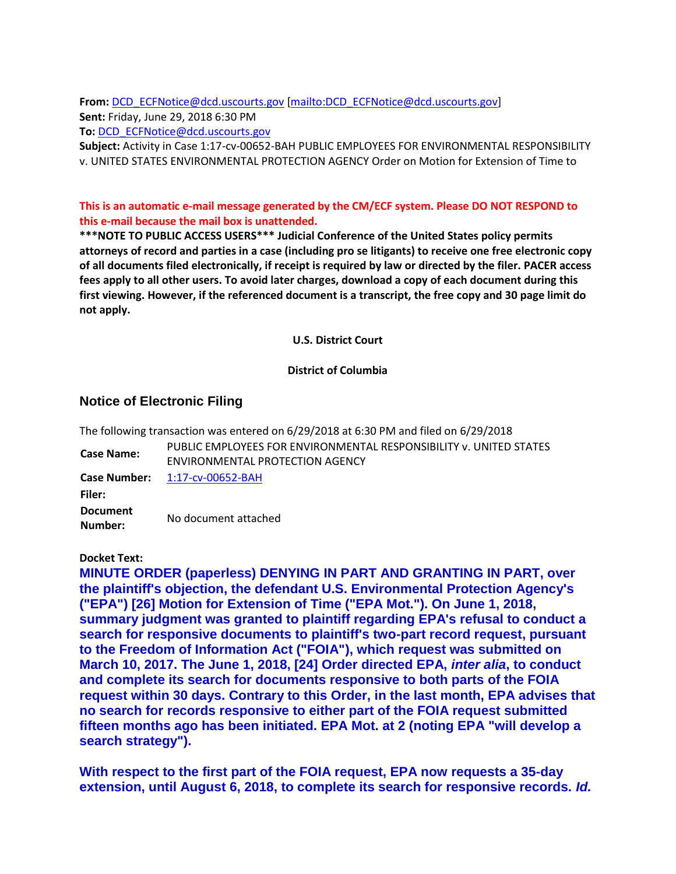**From:** [DCD\\_ECFNotice@dcd.uscourts.gov](mailto:DCD_ECFNotice@dcd.uscourts.gov) [\[mailto:DCD\\_ECFNotice@dcd.uscourts.gov\]](mailto:DCD_ECFNotice@dcd.uscourts.gov) **Sent:** Friday, June 29, 2018 6:30 PM **To:** [DCD\\_ECFNotice@dcd.uscourts.gov](mailto:DCD_ECFNotice@dcd.uscourts.gov)

**Subject:** Activity in Case 1:17-cv-00652-BAH PUBLIC EMPLOYEES FOR ENVIRONMENTAL RESPONSIBILITY v. UNITED STATES ENVIRONMENTAL PROTECTION AGENCY Order on Motion for Extension of Time to

## **This is an automatic e-mail message generated by the CM/ECF system. Please DO NOT RESPOND to this e-mail because the mail box is unattended.**

**\*\*\*NOTE TO PUBLIC ACCESS USERS\*\*\* Judicial Conference of the United States policy permits attorneys of record and parties in a case (including pro se litigants) to receive one free electronic copy of all documents filed electronically, if receipt is required by law or directed by the filer. PACER access fees apply to all other users. To avoid later charges, download a copy of each document during this first viewing. However, if the referenced document is a transcript, the free copy and 30 page limit do not apply.**

**U.S. District Court**

## **District of Columbia**

## **Notice of Electronic Filing**

The following transaction was entered on 6/29/2018 at 6:30 PM and filed on 6/29/2018

**Case Name:** PUBLIC EMPLOYEES FOR ENVIRONMENTAL RESPONSIBILITY v. UNITED STATES ENVIRONMENTAL PROTECTION AGENCY **Case Number:** [1:17-cv-00652-BAH](https://ecf.dcd.uscourts.gov/cgi-bin/DktRpt.pl?185745) **Filer: Document Number:** No document attached

**Docket Text:**

**MINUTE ORDER (paperless) DENYING IN PART AND GRANTING IN PART, over the plaintiff's objection, the defendant U.S. Environmental Protection Agency's ("EPA") [26] Motion for Extension of Time ("EPA Mot."). On June 1, 2018, summary judgment was granted to plaintiff regarding EPA's refusal to conduct a search for responsive documents to plaintiff's two-part record request, pursuant to the Freedom of Information Act ("FOIA"), which request was submitted on March 10, 2017. The June 1, 2018, [24] Order directed EPA,** *inter alia***, to conduct and complete its search for documents responsive to both parts of the FOIA request within 30 days. Contrary to this Order, in the last month, EPA advises that no search for records responsive to either part of the FOIA request submitted fifteen months ago has been initiated. EPA Mot. at 2 (noting EPA "will develop a search strategy").**

**With respect to the first part of the FOIA request, EPA now requests a 35-day extension, until August 6, 2018, to complete its search for responsive records.** *Id.*